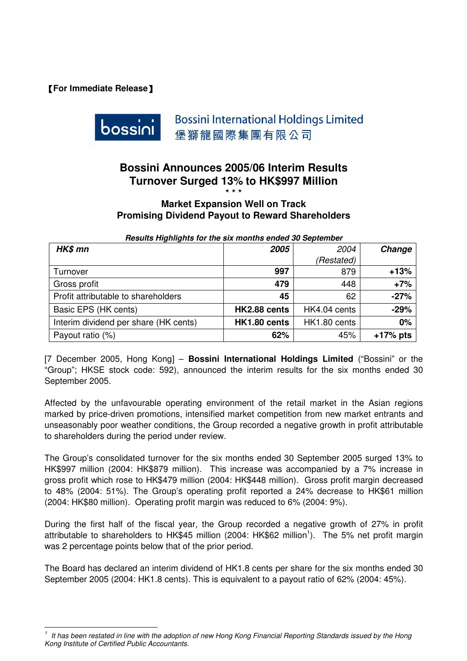【**For Immediate Release**】

 $\overline{a}$ 

#### **Bossini International Holdings Limited** bossini 堡獅龍國際集團有限公司

# **Bossini Announces 2005/06 Interim Results Turnover Surged 13% to HK\$997 Million \* \* \***

### **Market Expansion Well on Track Promising Dividend Payout to Reward Shareholders**

| HK\$ mn                               | 2005         | 2004         | Change     |
|---------------------------------------|--------------|--------------|------------|
|                                       |              | (Restated)   |            |
| Turnover                              | 997          | 879          | $+13%$     |
| Gross profit                          | 479          | 448          | $+7%$      |
| Profit attributable to shareholders   | 45           | 62           | $-27%$     |
| Basic EPS (HK cents)                  | HK2.88 cents | HK4.04 cents | $-29%$     |
| Interim dividend per share (HK cents) | HK1.80 cents | HK1.80 cents | 0%         |
| Payout ratio (%)                      | 62%          | 45%          | $+17%$ pts |

**Results Highlights for the six months ended 30 September** 

[7 December 2005, Hong Kong] – **Bossini International Holdings Limited** ("Bossini" or the "Group"; HKSE stock code: 592), announced the interim results for the six months ended 30 September 2005.

Affected by the unfavourable operating environment of the retail market in the Asian regions marked by price-driven promotions, intensified market competition from new market entrants and unseasonably poor weather conditions, the Group recorded a negative growth in profit attributable to shareholders during the period under review.

The Group's consolidated turnover for the six months ended 30 September 2005 surged 13% to HK\$997 million (2004: HK\$879 million). This increase was accompanied by a 7% increase in gross profit which rose to HK\$479 million (2004: HK\$448 million). Gross profit margin decreased to 48% (2004: 51%). The Group's operating profit reported a 24% decrease to HK\$61 million (2004: HK\$80 million). Operating profit margin was reduced to 6% (2004: 9%).

During the first half of the fiscal year, the Group recorded a negative growth of 27% in profit attributable to shareholders to HK\$45 million (2004: HK\$62 million<sup>1</sup>). The 5% net profit margin was 2 percentage points below that of the prior period.

The Board has declared an interim dividend of HK1.8 cents per share for the six months ended 30 September 2005 (2004: HK1.8 cents). This is equivalent to a payout ratio of 62% (2004: 45%).

<sup>1</sup> It has been restated in line with the adoption of new Hong Kong Financial Reporting Standards issued by the Hong Kong Institute of Certified Public Accountants.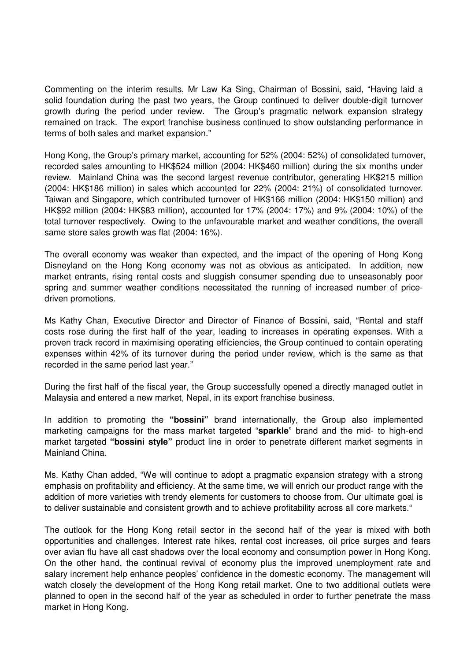Commenting on the interim results, Mr Law Ka Sing, Chairman of Bossini, said, "Having laid a solid foundation during the past two years, the Group continued to deliver double-digit turnover growth during the period under review. The Group's pragmatic network expansion strategy remained on track. The export franchise business continued to show outstanding performance in terms of both sales and market expansion."

Hong Kong, the Group's primary market, accounting for 52% (2004: 52%) of consolidated turnover, recorded sales amounting to HK\$524 million (2004: HK\$460 million) during the six months under review. Mainland China was the second largest revenue contributor, generating HK\$215 million (2004: HK\$186 million) in sales which accounted for 22% (2004: 21%) of consolidated turnover. Taiwan and Singapore, which contributed turnover of HK\$166 million (2004: HK\$150 million) and HK\$92 million (2004: HK\$83 million), accounted for 17% (2004: 17%) and 9% (2004: 10%) of the total turnover respectively. Owing to the unfavourable market and weather conditions, the overall same store sales growth was flat (2004: 16%).

The overall economy was weaker than expected, and the impact of the opening of Hong Kong Disneyland on the Hong Kong economy was not as obvious as anticipated. In addition, new market entrants, rising rental costs and sluggish consumer spending due to unseasonably poor spring and summer weather conditions necessitated the running of increased number of pricedriven promotions.

Ms Kathy Chan, Executive Director and Director of Finance of Bossini, said, "Rental and staff costs rose during the first half of the year, leading to increases in operating expenses. With a proven track record in maximising operating efficiencies, the Group continued to contain operating expenses within 42% of its turnover during the period under review, which is the same as that recorded in the same period last year."

During the first half of the fiscal year, the Group successfully opened a directly managed outlet in Malaysia and entered a new market, Nepal, in its export franchise business.

In addition to promoting the **"bossini"** brand internationally, the Group also implemented marketing campaigns for the mass market targeted "**sparkle**" brand and the mid- to high-end market targeted **"bossini style"** product line in order to penetrate different market segments in Mainland China.

Ms. Kathy Chan added, "We will continue to adopt a pragmatic expansion strategy with a strong emphasis on profitability and efficiency. At the same time, we will enrich our product range with the addition of more varieties with trendy elements for customers to choose from. Our ultimate goal is to deliver sustainable and consistent growth and to achieve profitability across all core markets."

The outlook for the Hong Kong retail sector in the second half of the year is mixed with both opportunities and challenges. Interest rate hikes, rental cost increases, oil price surges and fears over avian flu have all cast shadows over the local economy and consumption power in Hong Kong. On the other hand, the continual revival of economy plus the improved unemployment rate and salary increment help enhance peoples' confidence in the domestic economy. The management will watch closely the development of the Hong Kong retail market. One to two additional outlets were planned to open in the second half of the year as scheduled in order to further penetrate the mass market in Hong Kong.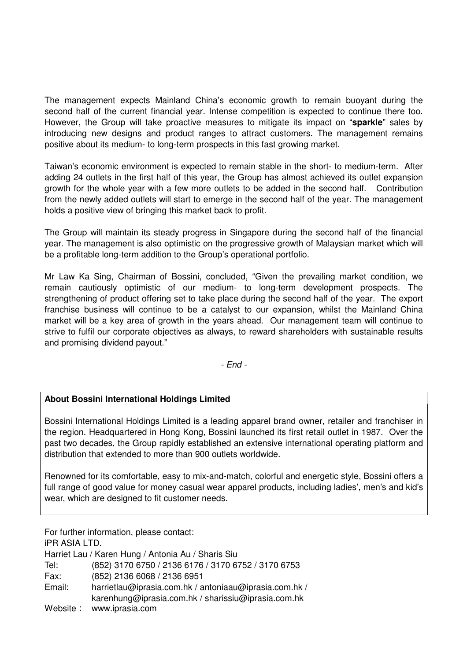The management expects Mainland China's economic growth to remain buoyant during the second half of the current financial year. Intense competition is expected to continue there too. However, the Group will take proactive measures to mitigate its impact on "**sparkle**" sales by introducing new designs and product ranges to attract customers. The management remains positive about its medium- to long-term prospects in this fast growing market.

Taiwan's economic environment is expected to remain stable in the short- to medium-term. After adding 24 outlets in the first half of this year, the Group has almost achieved its outlet expansion growth for the whole year with a few more outlets to be added in the second half. Contribution from the newly added outlets will start to emerge in the second half of the year. The management holds a positive view of bringing this market back to profit.

The Group will maintain its steady progress in Singapore during the second half of the financial year. The management is also optimistic on the progressive growth of Malaysian market which will be a profitable long-term addition to the Group's operational portfolio.

Mr Law Ka Sing, Chairman of Bossini, concluded, "Given the prevailing market condition, we remain cautiously optimistic of our medium- to long-term development prospects. The strengthening of product offering set to take place during the second half of the year. The export franchise business will continue to be a catalyst to our expansion, whilst the Mainland China market will be a key area of growth in the years ahead. Our management team will continue to strive to fulfil our corporate objectives as always, to reward shareholders with sustainable results and promising dividend payout."

- End -

#### **About Bossini International Holdings Limited**

Bossini International Holdings Limited is a leading apparel brand owner, retailer and franchiser in the region. Headquartered in Hong Kong, Bossini launched its first retail outlet in 1987. Over the past two decades, the Group rapidly established an extensive international operating platform and distribution that extended to more than 900 outlets worldwide.

Renowned for its comfortable, easy to mix-and-match, colorful and energetic style, Bossini offers a full range of good value for money casual wear apparel products, including ladies', men's and kid's wear, which are designed to fit customer needs.

For further information, please contact: iPR ASIA LTD. Harriet Lau / Karen Hung / Antonia Au / Sharis Siu Tel: (852) 3170 6750 / 2136 6176 / 3170 6752 / 3170 6753 Fax: (852) 2136 6068 / 2136 6951 Email: harrietlau@iprasia.com.hk / antoniaau@iprasia.com.hk / karenhung@iprasia.com.hk / sharissiu@iprasia.com.hk Website: www.iprasia.com